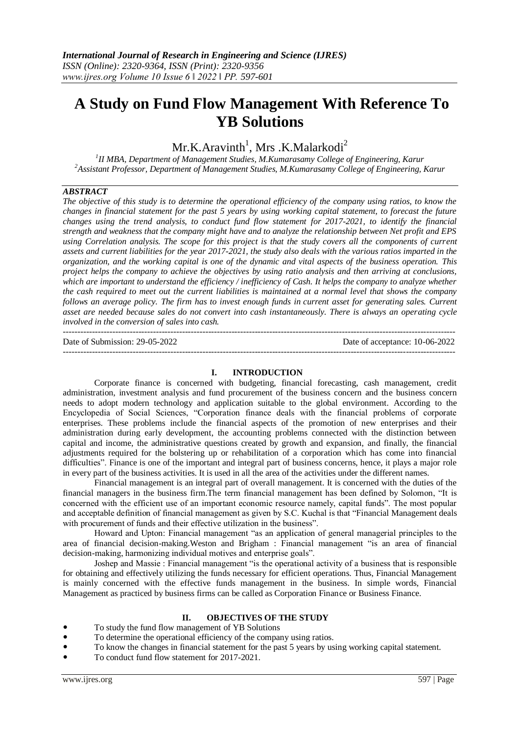---------------------------------------------------------------------------------------------------------------------------------------

# **A Study on Fund Flow Management With Reference To YB Solutions**

 $Mr.K. Aravinth<sup>1</sup>, Mrs.K. Malarkodi<sup>2</sup>$ 

*1 II MBA, Department of Management Studies, M.Kumarasamy College of Engineering, Karur <sup>2</sup>Assistant Professor, Department of Management Studies, M.Kumarasamy College of Engineering, Karur*

# *ABSTRACT*

*The objective of this study is to determine the operational efficiency of the company using ratios, to know the changes in financial statement for the past 5 years by using working capital statement, to forecast the future changes using the trend analysis, to conduct fund flow statement for 2017-2021, to identify the financial strength and weakness that the company might have and to analyze the relationship between Net profit and EPS using Correlation analysis. The scope for this project is that the study covers all the components of current assets and current liabilities for the year 2017-2021, the study also deals with the various ratios imparted in the organization, and the working capital is one of the dynamic and vital aspects of the business operation. This project helps the company to achieve the objectives by using ratio analysis and then arriving at conclusions, which are important to understand the efficiency / inefficiency of Cash. It helps the company to analyze whether the cash required to meet out the current liabilities is maintained at a normal level that shows the company follows an average policy. The firm has to invest enough funds in current asset for generating sales. Current asset are needed because sales do not convert into cash instantaneously. There is always an operating cycle involved in the conversion of sales into cash.*

Date of Submission: 29-05-2022 Date of acceptance: 10-06-2022

---------------------------------------------------------------------------------------------------------------------------------------

### **I. INTRODUCTION**

Corporate finance is concerned with budgeting, financial forecasting, cash management, credit administration, investment analysis and fund procurement of the business concern and the business concern needs to adopt modern technology and application suitable to the global environment. According to the Encyclopedia of Social Sciences, "Corporation finance deals with the financial problems of corporate enterprises. These problems include the financial aspects of the promotion of new enterprises and their administration during early development, the accounting problems connected with the distinction between capital and income, the administrative questions created by growth and expansion, and finally, the financial adjustments required for the bolstering up or rehabilitation of a corporation which has come into financial difficulties". Finance is one of the important and integral part of business concerns, hence, it plays a major role in every part of the business activities. It is used in all the area of the activities under the different names.

Financial management is an integral part of overall management. It is concerned with the duties of the financial managers in the business firm.The term financial management has been defined by Solomon, "It is concerned with the efficient use of an important economic resource namely, capital funds". The most popular and acceptable definition of financial management as given by S.C. Kuchal is that "Financial Management deals with procurement of funds and their effective utilization in the business".

Howard and Upton: Financial management "as an application of general managerial principles to the area of financial decision-making.Weston and Brigham : Financial management "is an area of financial decision-making, harmonizing individual motives and enterprise goals".

Joshep and Massie : Financial management "is the operational activity of a business that is responsible for obtaining and effectively utilizing the funds necessary for efficient operations. Thus, Financial Management is mainly concerned with the effective funds management in the business. In simple words, Financial Management as practiced by business firms can be called as Corporation Finance or Business Finance.

# **II. OBJECTIVES OF THE STUDY**

- To study the fund flow management of YB Solutions
- To determine the operational efficiency of the company using ratios.
- To know the changes in financial statement for the past 5 years by using working capital statement.
- To conduct fund flow statement for 2017-2021.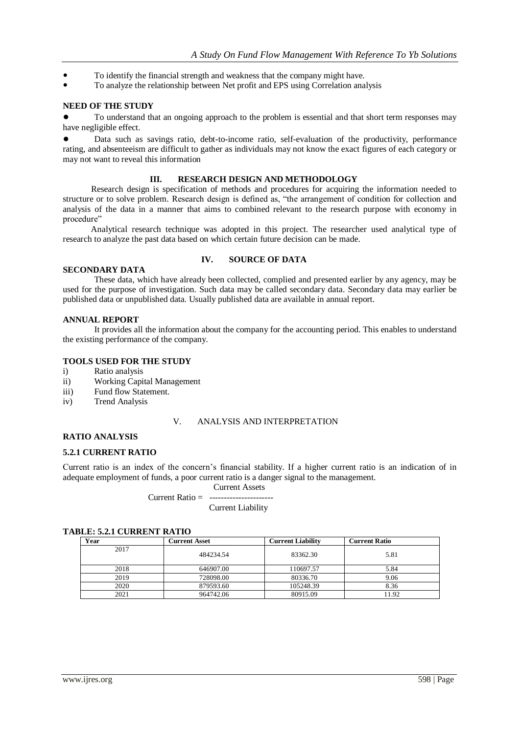- To identify the financial strength and weakness that the company might have.
- To analyze the relationship between Net profit and EPS using Correlation analysis

#### **NEED OF THE STUDY**

To understand that an ongoing approach to the problem is essential and that short term responses may have negligible effect.

Data such as savings ratio, debt-to-income ratio, self-evaluation of the productivity, performance rating, and absenteeism are difficult to gather as individuals may not know the exact figures of each category or may not want to reveal this information

## **III. RESEARCH DESIGN AND METHODOLOGY**

 Research design is specification of methods and procedures for acquiring the information needed to structure or to solve problem. Research design is defined as, "the arrangement of condition for collection and analysis of the data in a manner that aims to combined relevant to the research purpose with economy in procedure"

 Analytical research technique was adopted in this project. The researcher used analytical type of research to analyze the past data based on which certain future decision can be made.

#### **SECONDARY DATA**

## **IV. SOURCE OF DATA**

These data, which have already been collected, complied and presented earlier by any agency, may be used for the purpose of investigation. Such data may be called secondary data. Secondary data may earlier be published data or unpublished data. Usually published data are available in annual report.

#### **ANNUAL REPORT**

It provides all the information about the company for the accounting period. This enables to understand the existing performance of the company.

#### **TOOLS USED FOR THE STUDY**

- i) Ratio analysis
- ii) Working Capital Management
- iii) Fund flow Statement.
- iv) Trend Analysis

#### V. ANALYSIS AND INTERPRETATION

# **RATIO ANALYSIS**

#### **5.2.1 CURRENT RATIO**

Current ratio is an index of the concern's financial stability. If a higher current ratio is an indication of in adequate employment of funds, a poor current ratio is a danger signal to the management.

Current Assets

Current Ratio = ----------------------

Current Liability

## **TABLE: 5.2.1 CURRENT RATIO**

| Year | Current Asset | <b>Current Liability</b> | <b>Current Ratio</b> |
|------|---------------|--------------------------|----------------------|
| 2017 | 484234.54     | 83362.30                 | 5.81                 |
| 2018 | 646907.00     | 110697.57                | 5.84                 |
| 2019 | 728098.00     | 80336.70                 | 9.06                 |
| 2020 | 879593.60     | 105248.39                | 8.36                 |
| 2021 | 964742.06     | 80915.09                 | 11.92                |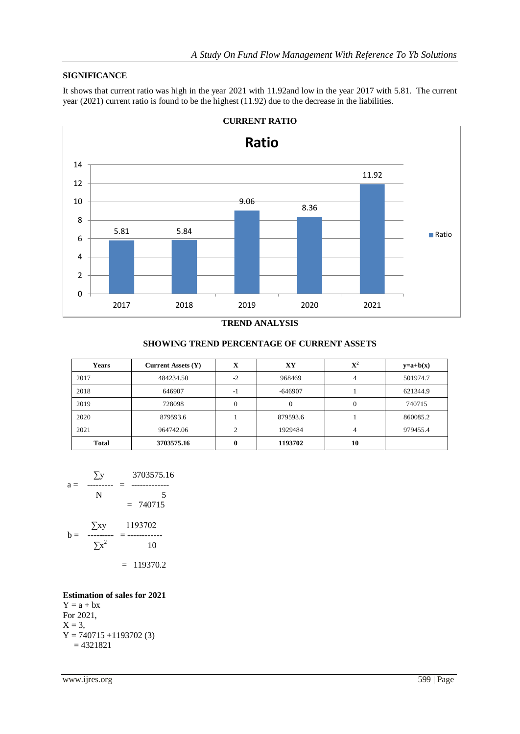# **SIGNIFICANCE**

It shows that current ratio was high in the year 2021 with 11.92and low in the year 2017 with 5.81. The current year (2021) current ratio is found to be the highest (11.92) due to the decrease in the liabilities.



**TREND ANALYSIS**

| <b>Years</b> | <b>Current Assets (Y)</b> | x        | XY        | $\mathbf{X}^2$ | $y=a+b(x)$ |
|--------------|---------------------------|----------|-----------|----------------|------------|
| 2017         | 484234.50                 | $-2$     | 968469    |                | 501974.7   |
| 2018         | 646907                    | -1       | $-646907$ |                | 621344.9   |
| 2019         | 728098                    | $\Omega$ |           | 0              | 740715     |
| 2020         | 879593.6                  |          | 879593.6  |                | 860085.2   |
| 2021         | 964742.06                 | 2        | 1929484   | 4              | 979455.4   |
| <b>Total</b> | 3703575.16                |          | 1193702   | 10             |            |

# **SHOWING TREND PERCENTAGE OF CURRENT ASSETS**

$$
a = \frac{\sum y}{N} = \frac{3703575.16}{5}
$$
  
= 740715  

$$
b = \frac{\sum xy}{\sum x^{2}} = \frac{1193702}{10}
$$
  
= 119370.2

#### **Estimation of sales for 2021**  $Y = a + bx$ For 2021,  $X = 3$ ,  $Y = 740715 + 1193702$  (3)  $= 4321821$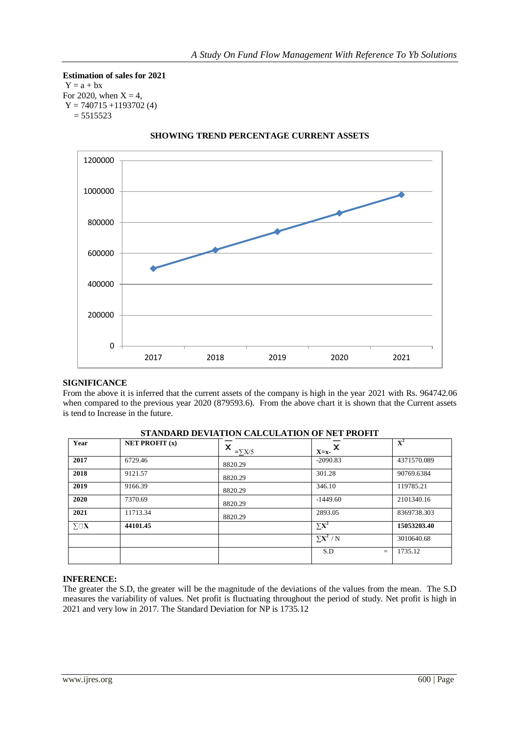**Estimation of sales for 2021**  $Y = a + bx$ For 2020, when  $X = 4$ ,  $Y = 740715 + 1193702$  (4)  $= 5515523$ 



# **SHOWING TREND PERCENTAGE CURRENT ASSETS**

## **SIGNIFICANCE**

From the above it is inferred that the current assets of the company is high in the year 2021 with Rs. 964742.06 when compared to the previous year 2020 (879593.6). From the above chart it is shown that the Current assets is tend to Increase in the future.

| STANDARD DEVIATION CALCOLATION OF NET PROFIT |                                    |                    |              |                |  |
|----------------------------------------------|------------------------------------|--------------------|--------------|----------------|--|
| Year                                         | <b>NET PROFIT <math>(x)</math></b> | x<br>$=\Sigma X/5$ | ×<br>$X=x-$  | ${\bf X}^2$    |  |
| 2017                                         | 6729.46                            | 8820.29            | $-2090.83$   | 4371570.089    |  |
| 2018                                         | 9121.57                            | 8820.29            | 301.28       | 90769.6384     |  |
| 2019                                         | 9166.39                            | 8820.29            | 346.10       | 119785.21      |  |
| 2020                                         | 7370.69                            | 8820.29            | $-1449.60$   | 2101340.16     |  |
| 2021                                         | 11713.34                           | 8820.29            | 2893.05      | 8369738.303    |  |
| $\Sigma\square\mathbf{X}$                    | 44101.45                           |                    | $\Sigma X^2$ | 15053203.40    |  |
|                                              |                                    |                    | $\sum X^2/N$ | 3010640.68     |  |
|                                              |                                    |                    | S.D          | 1735.12<br>$=$ |  |

# **STANDARD DEVIATION CALCULATION OF NET PROFIT**

## **INFERENCE:**

The greater the S.D, the greater will be the magnitude of the deviations of the values from the mean. The S.D measures the variability of values. Net profit is fluctuating throughout the period of study. Net profit is high in 2021 and very low in 2017. The Standard Deviation for NP is 1735.12